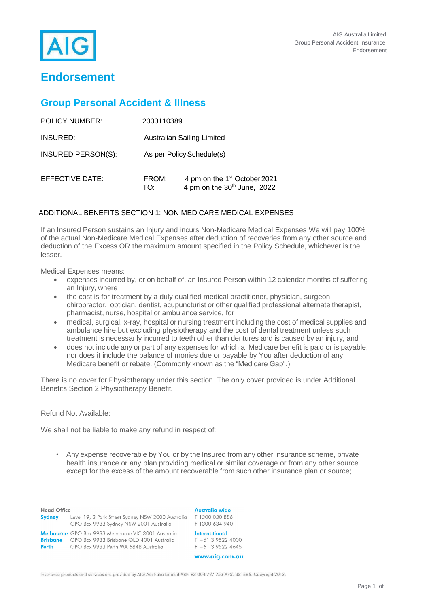

# **Endorsement**

# **Group Personal Accident & Illness**

| <b>POLICY NUMBER:</b> | 2300110389   |                                                                                     |
|-----------------------|--------------|-------------------------------------------------------------------------------------|
| INSURED:              |              | Australian Sailing Limited                                                          |
| INSURED PERSON(S):    |              | As per Policy Schedule(s)                                                           |
| EFFECTIVE DATE:       | FROM:<br>TO: | 4 pm on the 1 <sup>st</sup> October 2021<br>4 pm on the 30 <sup>th</sup> June, 2022 |

# ADDITIONAL BENEFITS SECTION 1: NON MEDICARE MEDICAL EXPENSES

If an Insured Person sustains an Injury and incurs Non-Medicare Medical Expenses We will pay 100% of the actual Non-Medicare Medical Expenses after deduction of recoveries from any other source and deduction of the Excess OR the maximum amount specified in the Policy Schedule, whichever is the lesser.

Medical Expenses means:

- expenses incurred by, or on behalf of, an Insured Person within 12 calendar months of suffering an Injury, where
- the cost is for treatment by a duly qualified medical practitioner, physician, surgeon, chiropractor, optician, dentist, acupuncturist or other qualified professional alternate therapist, pharmacist, nurse, hospital or ambulance service, for
- medical, surgical, x-ray, hospital or nursing treatment including the cost of medical supplies and ambulance hire but excluding physiotherapy and the cost of dental treatment unless such treatment is necessarily incurred to teeth other than dentures and is caused by an injury, and
- does not include any or part of any expenses for which a Medicare benefit is paid or is payable, nor does it include the balance of monies due or payable by You after deduction of any Medicare benefit or rebate. (Commonly known as the "Medicare Gap".)

There is no cover for Physiotherapy under this section. The only cover provided is under Additional Benefits Section 2 Physiotherapy Benefit.

# Refund Not Available:

We shall not be liable to make any refund in respect of:

• Any expense recoverable by You or by the Insured from any other insurance scheme, private health insurance or any plan providing medical or similar coverage or from any other source except for the excess of the amount recoverable from such other insurance plan or source;

| <b>Head Office</b><br>Australia wide<br>T 1300 030 886<br>Level 19, 2 Park Street Sydney NSW 2000 Australia<br><b>Sydney</b><br>GPO Box 9933 Sydney NSW 2001 Australia<br>F 1300 634 940<br>International<br>Melbourne GPO Box 9933 Melbourne VIC 3001 Australia<br>$T + 61$ 3 9522 4000<br>GPO Box 9933 Brisbane QLD 4001 Australia<br><b>Brisbane</b> |
|---------------------------------------------------------------------------------------------------------------------------------------------------------------------------------------------------------------------------------------------------------------------------------------------------------------------------------------------------------|
|                                                                                                                                                                                                                                                                                                                                                         |
|                                                                                                                                                                                                                                                                                                                                                         |

Insurance products and services are provided by AIG Australia Limited ABN 93 004 727 753 AFSL 381686. Copyright 2013.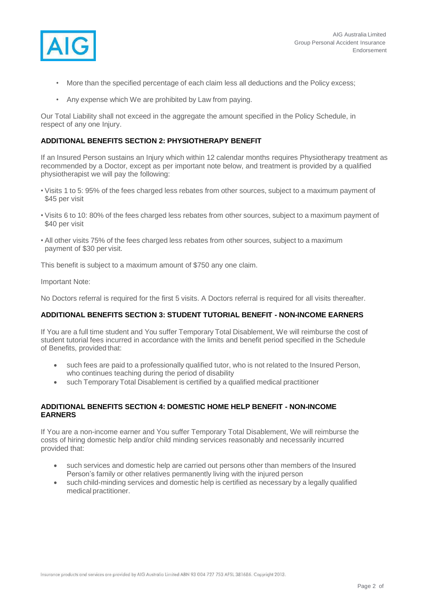

- More than the specified percentage of each claim less all deductions and the Policy excess;
- Any expense which We are prohibited by Law from paying.

Our Total Liability shall not exceed in the aggregate the amount specified in the Policy Schedule, in respect of any one Injury.

## **ADDITIONAL BENEFITS SECTION 2: PHYSIOTHERAPY BENEFIT**

If an Insured Person sustains an Injury which within 12 calendar months requires Physiotherapy treatment as recommended by a Doctor, except as per important note below, and treatment is provided by a qualified physiotherapist we will pay the following:

- Visits 1 to 5: 95% of the fees charged less rebates from other sources, subject to a maximum payment of \$45 per visit
- Visits 6 to 10: 80% of the fees charged less rebates from other sources, subject to a maximum payment of \$40 per visit
- All other visits 75% of the fees charged less rebates from other sources, subject to a maximum payment of \$30 per visit.

This benefit is subject to a maximum amount of \$750 any one claim.

Important Note:

No Doctors referral is required for the first 5 visits. A Doctors referral is required for all visits thereafter.

#### **ADDITIONAL BENEFITS SECTION 3: STUDENT TUTORIAL BENEFIT - NON-INCOME EARNERS**

If You are a full time student and You suffer Temporary Total Disablement, We will reimburse the cost of student tutorial fees incurred in accordance with the limits and benefit period specified in the Schedule of Benefits, provided that:

- such fees are paid to a professionally qualified tutor, who is not related to the Insured Person, who continues teaching during the period of disability
- such Temporary Total Disablement is certified by a qualified medical practitioner

#### **ADDITIONAL BENEFITS SECTION 4: DOMESTIC HOME HELP BENEFIT - NON-INCOME EARNERS**

If You are a non-income earner and You suffer Temporary Total Disablement, We will reimburse the costs of hiring domestic help and/or child minding services reasonably and necessarily incurred provided that:

- such services and domestic help are carried out persons other than members of the Insured Person's family or other relatives permanently living with the injured person
- such child-minding services and domestic help is certified as necessary by a legally qualified medical practitioner.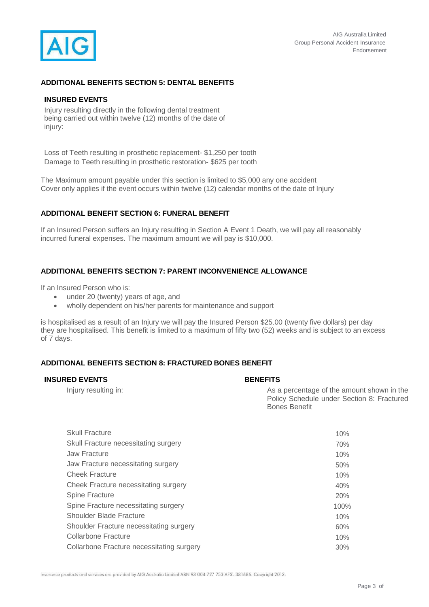

# **ADDITIONAL BENEFITS SECTION 5: DENTAL BENEFITS**

#### **INSURED EVENTS**

Injury resulting directly in the following dental treatment being carried out within twelve (12) months of the date of injury:

Loss of Teeth resulting in prosthetic replacement- \$1,250 per tooth Damage to Teeth resulting in prosthetic restoration- \$625 per tooth

The Maximum amount payable under this section is limited to \$5,000 any one accident Cover only applies if the event occurs within twelve (12) calendar months of the date of Injury

# **ADDITIONAL BENEFIT SECTION 6: FUNERAL BENEFIT**

If an Insured Person suffers an Injury resulting in Section A Event 1 Death, we will pay all reasonably incurred funeral expenses. The maximum amount we will pay is \$10,000.

## **ADDITIONAL BENEFITS SECTION 7: PARENT INCONVENIENCE ALLOWANCE**

If an Insured Person who is:

- under 20 (twenty) years of age, and
- wholly dependent on his/her parents for maintenance and support

is hospitalised as a result of an Injury we will pay the Insured Person \$25.00 (twenty five dollars) per day they are hospitalised. This benefit is limited to a maximum of fifty two (52) weeks and is subject to an excess of 7 days.

# **ADDITIONAL BENEFITS SECTION 8: FRACTURED BONES BENEFIT**

#### **INSURED EVENTS BENEFITS**

| Injury resulting in:  | As a percentage of the amount shown in the<br>Policy Schedule under Section 8: Fractured<br><b>Bones Benefit</b> |
|-----------------------|------------------------------------------------------------------------------------------------------------------|
| <b>Skull Fracture</b> | 10%                                                                                                              |

| $1 \cup 70$ |
|-------------|
| 70%         |
| 10%         |
| 50%         |
| 10%         |
| 40%         |
| 20%         |
| 100%        |
| 10%         |
| 60%         |
| 10%         |
| $30\%$      |
|             |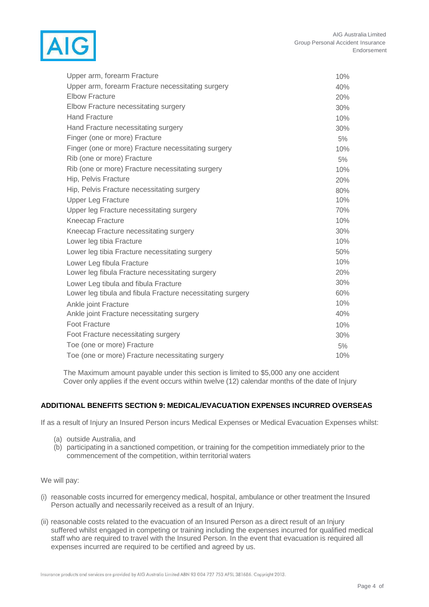

| Upper arm, forearm Fracture                                | 10% |
|------------------------------------------------------------|-----|
| Upper arm, forearm Fracture necessitating surgery          | 40% |
| <b>Elbow Fracture</b>                                      | 20% |
| Elbow Fracture necessitating surgery                       | 30% |
| <b>Hand Fracture</b>                                       | 10% |
| Hand Fracture necessitating surgery                        | 30% |
| Finger (one or more) Fracture                              | 5%  |
| Finger (one or more) Fracture necessitating surgery        | 10% |
| Rib (one or more) Fracture                                 | 5%  |
| Rib (one or more) Fracture necessitating surgery           | 10% |
| Hip, Pelvis Fracture                                       | 20% |
| Hip, Pelvis Fracture necessitating surgery                 | 80% |
| <b>Upper Leg Fracture</b>                                  | 10% |
| Upper leg Fracture necessitating surgery                   | 70% |
| Kneecap Fracture                                           | 10% |
| Kneecap Fracture necessitating surgery                     | 30% |
| Lower leg tibia Fracture                                   | 10% |
| Lower leg tibia Fracture necessitating surgery             | 50% |
| Lower Leg fibula Fracture                                  | 10% |
| Lower leg fibula Fracture necessitating surgery            | 20% |
| Lower Leg tibula and fibula Fracture                       | 30% |
| Lower leg tibula and fibula Fracture necessitating surgery | 60% |
| Ankle joint Fracture                                       | 10% |
| Ankle joint Fracture necessitating surgery                 | 40% |
| Foot Fracture                                              | 10% |
| Foot Fracture necessitating surgery                        | 30% |
| Toe (one or more) Fracture                                 | 5%  |
| Toe (one or more) Fracture necessitating surgery           | 10% |

The Maximum amount payable under this section is limited to \$5,000 any one accident Cover only applies if the event occurs within twelve (12) calendar months of the date of Injury

# **ADDITIONAL BENEFITS SECTION 9: MEDICAL/EVACUATION EXPENSES INCURRED OVERSEAS**

If as a result of Injury an Insured Person incurs Medical Expenses or Medical Evacuation Expenses whilst:

- (a) outside Australia, and
- (b) participating in a sanctioned competition, or training for the competition immediately prior to the commencement of the competition, within territorial waters

We will pay:

- (i) reasonable costs incurred for emergency medical, hospital, ambulance or other treatment the Insured Person actually and necessarily received as a result of an Injury.
- (ii) reasonable costs related to the evacuation of an Insured Person as a direct result of an Injury suffered whilst engaged in competing or training including the expenses incurred for qualified medical staff who are required to travel with the Insured Person. In the event that evacuation is required all expenses incurred are required to be certified and agreed by us.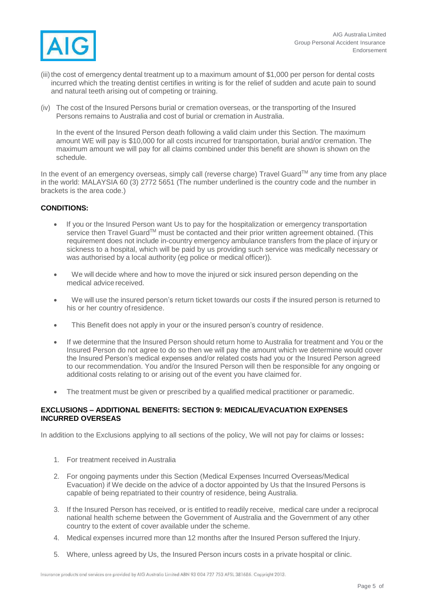

- (iii) the cost of emergency dental treatment up to a maximum amount of \$1,000 per person for dental costs incurred which the treating dentist certifies in writing is for the relief of sudden and acute pain to sound and natural teeth arising out of competing or training.
- (iv) The cost of the Insured Persons burial or cremation overseas, or the transporting of the Insured Persons remains to Australia and cost of burial or cremation in Australia.

In the event of the Insured Person death following a valid claim under this Section. The maximum amount WE will pay is \$10,000 for all costs incurred for transportation, burial and/or cremation. The maximum amount we will pay for all claims combined under this benefit are shown is shown on the schedule.

In the event of an emergency overseas, simply call (reverse charge) Travel Guard™ any time from any place in the world: MALAYSIA 60 (3) 2772 5651 (The number underlined is the country code and the number in brackets is the area code.)

# **CONDITIONS:**

- If you or the Insured Person want Us to pay for the hospitalization or emergency transportation service then Travel Guard™ must be contacted and their prior written agreement obtained. (This requirement does not include in-country emergency ambulance transfers from the place of injury or sickness to a hospital, which will be paid by us providing such service was medically necessary or was authorised by a local authority (eg police or medical officer)).
- We will decide where and how to move the injured or sick insured person depending on the medical advice received.
- We will use the insured person's return ticket towards our costs if the insured person is returned to his or her country ofresidence.
- This Benefit does not apply in your or the insured person's country of residence.
- If we determine that the Insured Person should return home to Australia for treatment and You or the Insured Person do not agree to do so then we will pay the amount which we determine would cover the Insured Person's medical expenses and/or related costs had you or the Insured Person agreed to our recommendation. You and/or the Insured Person will then be responsible for any ongoing or additional costs relating to or arising out of the event you have claimed for.
- The treatment must be given or prescribed by a qualified medical practitioner or paramedic.

#### **EXCLUSIONS – ADDITIONAL BENEFITS: SECTION 9: MEDICAL/EVACUATION EXPENSES INCURRED OVERSEAS**

In addition to the Exclusions applying to all sections of the policy, We will not pay for claims or losses**:**

- 1. For treatment received inAustralia
- 2. For ongoing payments under this Section (Medical Expenses Incurred Overseas/Medical Evacuation) if We decide on the advice of a doctor appointed by Us that the Insured Persons is capable of being repatriated to their country of residence, being Australia.
- 3. If the Insured Person has received, or is entitled to readily receive, medical care under a reciprocal national health scheme between the Government of Australia and the Government of any other country to the extent of cover available under the scheme.
- 4. Medical expenses incurred more than 12 months after the Insured Person suffered the Injury.
- 5. Where, unless agreed by Us, the Insured Person incurs costs in a private hospital or clinic.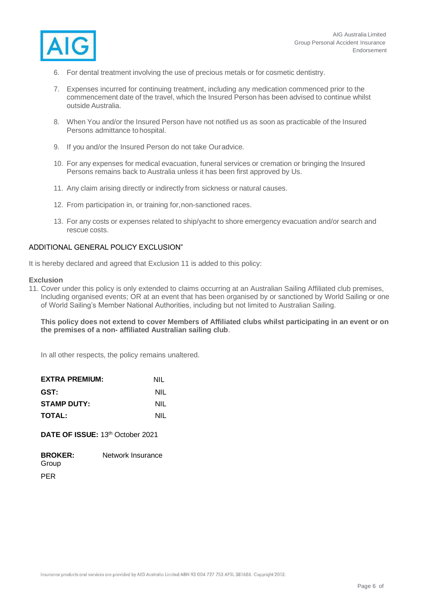

- 6. For dental treatment involving the use of precious metals or for cosmetic dentistry.
- 7. Expenses incurred for continuing treatment, including any medication commenced prior to the commencement date of the travel, which the Insured Person has been advised to continue whilst outside Australia.
- 8. When You and/or the Insured Person have not notified us as soon as practicable of the Insured Persons admittance to hospital.
- 9. If you and/or the Insured Person do not take Ouradvice.
- 10. For any expenses for medical evacuation, funeral services or cremation or bringing the Insured Persons remains back to Australia unless it has been first approved by Us.
- 11. Any claim arising directly or indirectly from sickness or natural causes.
- 12. From participation in, or training for,non-sanctioned races.
- 13. For any costs or expenses related to ship/yacht to shore emergency evacuation and/or search and rescue costs.

#### ADDITIONAL GENERAL POLICY EXCLUSION"

It is hereby declared and agreed that Exclusion 11 is added to this policy:

#### **Exclusion**

11. Cover under this policy is only extended to claims occurring at an Australian Sailing Affiliated club premises, Including organised events; OR at an event that has been organised by or sanctioned by World Sailing or one of World Sailing's Member National Authorities, including but not limited to Australian Sailing.

#### **This policy does not extend to cover Members of Affiliated clubs whilst participating in an event or on the premises of a non- affiliated Australian sailing club**.

In all other respects, the policy remains unaltered.

| <b>EXTRA PREMIUM:</b> | NIL |
|-----------------------|-----|
| GST:                  | NIL |
| <b>STAMP DUTY:</b>    | NIL |
| <b>TOTAL:</b>         | NIL |

**DATE OF ISSUE: 13th October 2021** 

| <b>BROKER:</b> | Network Insurance |
|----------------|-------------------|
| Group          |                   |
| PER            |                   |